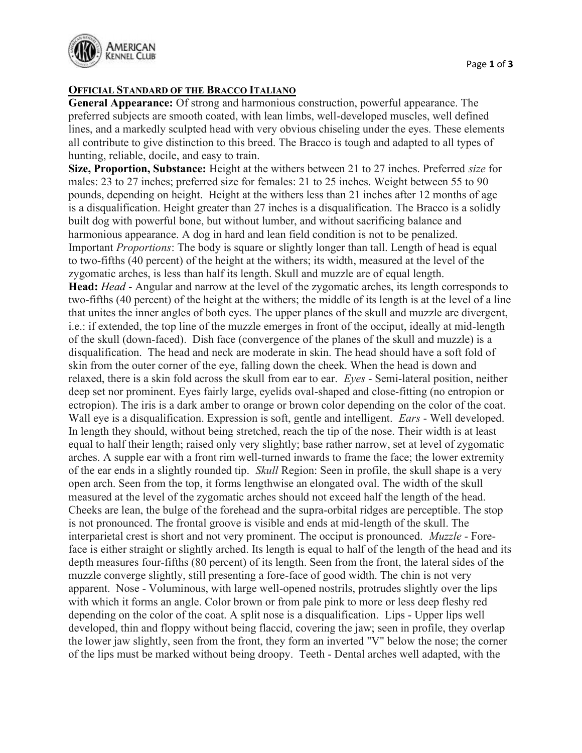

## OFFICIAL STANDARD OF THE BRACCO ITALIANO

General Appearance: Of strong and harmonious construction, powerful appearance. The preferred subjects are smooth coated, with lean limbs, well-developed muscles, well defined lines, and a markedly sculpted head with very obvious chiseling under the eyes. These elements all contribute to give distinction to this breed. The Bracco is tough and adapted to all types of hunting, reliable, docile, and easy to train.

Size, Proportion, Substance: Height at the withers between 21 to 27 inches. Preferred *size* for males: 23 to 27 inches; preferred size for females: 21 to 25 inches. Weight between 55 to 90 pounds, depending on height. Height at the withers less than 21 inches after 12 months of age is a disqualification. Height greater than 27 inches is a disqualification. The Bracco is a solidly built dog with powerful bone, but without lumber, and without sacrificing balance and harmonious appearance. A dog in hard and lean field condition is not to be penalized. Important Proportions: The body is square or slightly longer than tall. Length of head is equal to two-fifths (40 percent) of the height at the withers; its width, measured at the level of the zygomatic arches, is less than half its length. Skull and muzzle are of equal length. Head: Head - Angular and narrow at the level of the zygomatic arches, its length corresponds to two-fifths (40 percent) of the height at the withers; the middle of its length is at the level of a line that unites the inner angles of both eyes. The upper planes of the skull and muzzle are divergent, i.e.: if extended, the top line of the muzzle emerges in front of the occiput, ideally at mid-length of the skull (down-faced). Dish face (convergence of the planes of the skull and muzzle) is a disqualification. The head and neck are moderate in skin. The head should have a soft fold of skin from the outer corner of the eye, falling down the cheek. When the head is down and relaxed, there is a skin fold across the skull from ear to ear. Eyes - Semi-lateral position, neither deep set nor prominent. Eyes fairly large, eyelids oval-shaped and close-fitting (no entropion or ectropion). The iris is a dark amber to orange or brown color depending on the color of the coat. Wall eye is a disqualification. Expression is soft, gentle and intelligent. *Ears* - Well developed. In length they should, without being stretched, reach the tip of the nose. Their width is at least equal to half their length; raised only very slightly; base rather narrow, set at level of zygomatic arches. A supple ear with a front rim well-turned inwards to frame the face; the lower extremity of the ear ends in a slightly rounded tip. Skull Region: Seen in profile, the skull shape is a very open arch. Seen from the top, it forms lengthwise an elongated oval. The width of the skull measured at the level of the zygomatic arches should not exceed half the length of the head. Cheeks are lean, the bulge of the forehead and the supra-orbital ridges are perceptible. The stop is not pronounced. The frontal groove is visible and ends at mid-length of the skull. The interparietal crest is short and not very prominent. The occiput is pronounced. *Muzzle* - Foreface is either straight or slightly arched. Its length is equal to half of the length of the head and its depth measures four-fifths (80 percent) of its length. Seen from the front, the lateral sides of the muzzle converge slightly, still presenting a fore-face of good width. The chin is not very apparent. Nose - Voluminous, with large well-opened nostrils, protrudes slightly over the lips with which it forms an angle. Color brown or from pale pink to more or less deep fleshy red depending on the color of the coat. A split nose is a disqualification. Lips - Upper lips well developed, thin and floppy without being flaccid, covering the jaw; seen in profile, they overlap the lower jaw slightly, seen from the front, they form an inverted "V" below the nose; the corner of the lips must be marked without being droopy. Teeth - Dental arches well adapted, with the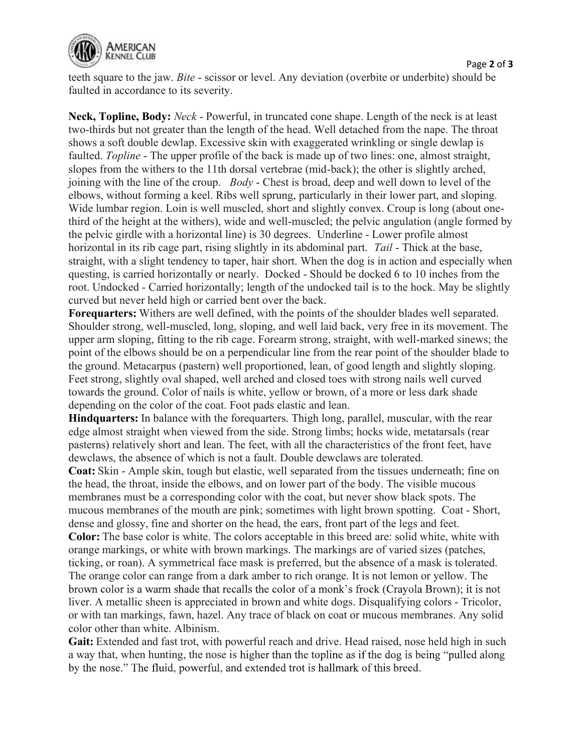

Page 2 of 3

Neck, Topline, Body: Neck - Powerful, in truncated cone shape. Length of the neck is at least two-thirds but not greater than the length of the head. Well detached from the nape. The throat shows a soft double dewlap. Excessive skin with exaggerated wrinkling or single dewlap is faulted. Topline - The upper profile of the back is made up of two lines: one, almost straight, slopes from the withers to the 11th dorsal vertebrae (mid-back); the other is slightly arched, joining with the line of the croup.  $Body$ -Chest is broad, deep and well down to level of the elbows, without forming a keel. Ribs well sprung, particularly in their lower part, and sloping. Wide lumbar region. Loin is well muscled, short and slightly convex. Croup is long (about onethird of the height at the withers), wide and well-muscled; the pelvic angulation (angle formed by the pelvic girdle with a horizontal line) is 30 degrees. Underline - Lower profile almost horizontal in its rib cage part, rising slightly in its abdominal part. Tail - Thick at the base, straight, with a slight tendency to taper, hair short. When the dog is in action and especially when questing, is carried horizontally or nearly. Docked - Should be docked 6 to 10 inches from the root. Undocked - Carried horizontally; length of the undocked tail is to the hock. May be slightly curved but never held high or carried bent over the back.

Forequarters: Withers are well defined, with the points of the shoulder blades well separated. Shoulder strong, well-muscled, long, sloping, and well laid back, very free in its movement. The upper arm sloping, fitting to the rib cage. Forearm strong, straight, with well-marked sinews; the point of the elbows should be on a perpendicular line from the rear point of the shoulder blade to the ground. Metacarpus (pastern) well proportioned, lean, of good length and slightly sloping. Feet strong, slightly oval shaped, well arched and closed toes with strong nails well curved towards the ground. Color of nails is white, yellow or brown, of a more or less dark shade depending on the color of the coat. Foot pads elastic and lean.

Hindquarters: In balance with the forequarters. Thigh long, parallel, muscular, with the rear edge almost straight when viewed from the side. Strong limbs; hocks wide, metatarsals (rear pasterns) relatively short and lean. The feet, with all the characteristics of the front feet, have dewclaws, the absence of which is not a fault. Double dewclaws are tolerated.

Coat: Skin - Ample skin, tough but elastic, well separated from the tissues underneath; fine on the head, the throat, inside the elbows, and on lower part of the body. The visible mucous membranes must be a corresponding color with the coat, but never show black spots. The mucous membranes of the mouth are pink; sometimes with light brown spotting. Coat - Short, dense and glossy, fine and shorter on the head, the ears, front part of the legs and feet.

Color: The base color is white. The colors acceptable in this breed are: solid white, white with orange markings, or white with brown markings. The markings are of varied sizes (patches, ticking, or roan). A symmetrical face mask is preferred, but the absence of a mask is tolerated. The orange color can range from a dark amber to rich orange. It is not lemon or yellow. The brown color is a warm shade that recalls the color of a monk's frock (Crayola Brown); it is not liver. A metallic sheen is appreciated in brown and white dogs. Disqualifying colors - Tricolor, or with tan markings, fawn, hazel. Any trace of black on coat or mucous membranes. Any solid color other than white. Albinism.

Gait: Extended and fast trot, with powerful reach and drive. Head raised, nose held high in such a way that, when hunting, the nose is higher than the topline as if the dog is being "pulled along" by the nose." The fluid, powerful, and extended trot is hallmark of this breed.